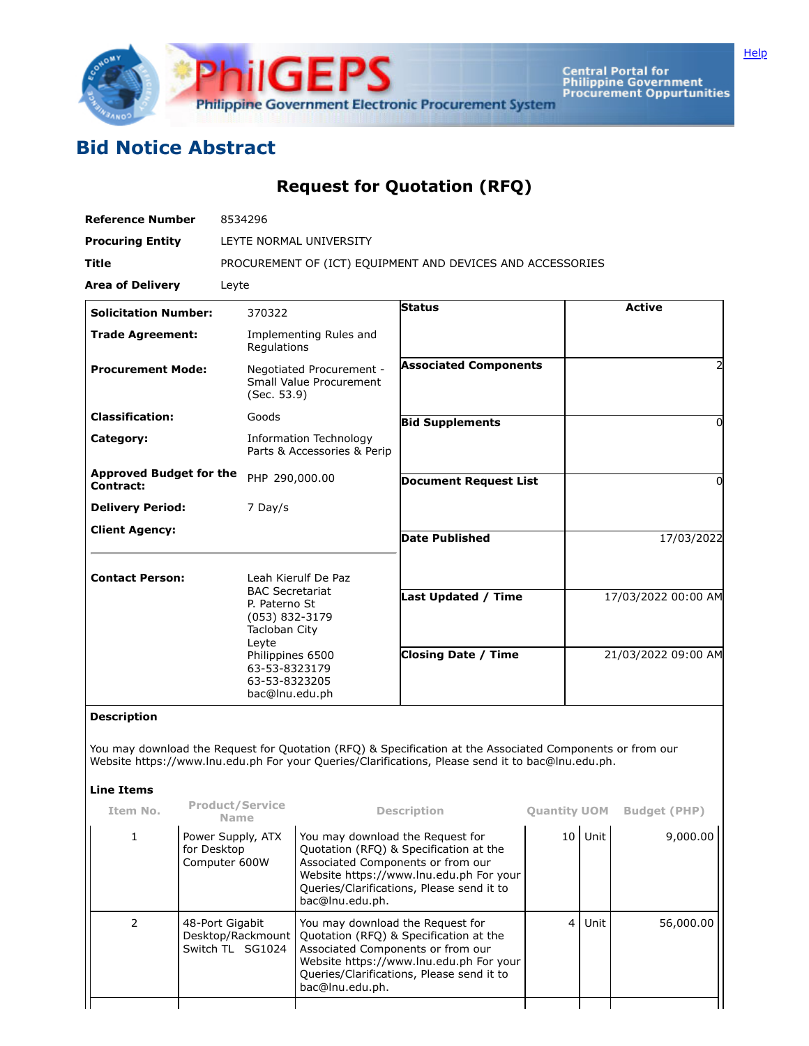

Central Portal for<br>Philippine Government<br>Procurement Oppurtunities

## **Bid Notice Abstract**

## **Request for Quotation (RFQ)**

|                                 | LEYTE NORMAL UNIVERSITY                                                                                                                                                                                                         |                                                                                                                                                                                                                                                                                                                                                                                                                                          |                                                                                                                                                                                                                                                                                                                                                                                                                                                                    |                     |                                                                                                                                                                                                                                                  |  |  |
|---------------------------------|---------------------------------------------------------------------------------------------------------------------------------------------------------------------------------------------------------------------------------|------------------------------------------------------------------------------------------------------------------------------------------------------------------------------------------------------------------------------------------------------------------------------------------------------------------------------------------------------------------------------------------------------------------------------------------|--------------------------------------------------------------------------------------------------------------------------------------------------------------------------------------------------------------------------------------------------------------------------------------------------------------------------------------------------------------------------------------------------------------------------------------------------------------------|---------------------|--------------------------------------------------------------------------------------------------------------------------------------------------------------------------------------------------------------------------------------------------|--|--|
|                                 |                                                                                                                                                                                                                                 |                                                                                                                                                                                                                                                                                                                                                                                                                                          |                                                                                                                                                                                                                                                                                                                                                                                                                                                                    |                     |                                                                                                                                                                                                                                                  |  |  |
|                                 | PROCUREMENT OF (ICT) EQUIPMENT AND DEVICES AND ACCESSORIES                                                                                                                                                                      |                                                                                                                                                                                                                                                                                                                                                                                                                                          |                                                                                                                                                                                                                                                                                                                                                                                                                                                                    |                     |                                                                                                                                                                                                                                                  |  |  |
| Leyte                           |                                                                                                                                                                                                                                 |                                                                                                                                                                                                                                                                                                                                                                                                                                          |                                                                                                                                                                                                                                                                                                                                                                                                                                                                    |                     |                                                                                                                                                                                                                                                  |  |  |
|                                 |                                                                                                                                                                                                                                 | <b>Status</b>                                                                                                                                                                                                                                                                                                                                                                                                                            |                                                                                                                                                                                                                                                                                                                                                                                                                                                                    | <b>Active</b>       |                                                                                                                                                                                                                                                  |  |  |
|                                 |                                                                                                                                                                                                                                 |                                                                                                                                                                                                                                                                                                                                                                                                                                          |                                                                                                                                                                                                                                                                                                                                                                                                                                                                    |                     |                                                                                                                                                                                                                                                  |  |  |
|                                 |                                                                                                                                                                                                                                 | <b>Associated Components</b>                                                                                                                                                                                                                                                                                                                                                                                                             |                                                                                                                                                                                                                                                                                                                                                                                                                                                                    |                     |                                                                                                                                                                                                                                                  |  |  |
| <b>Classification:</b><br>Goods |                                                                                                                                                                                                                                 |                                                                                                                                                                                                                                                                                                                                                                                                                                          |                                                                                                                                                                                                                                                                                                                                                                                                                                                                    |                     | 0                                                                                                                                                                                                                                                |  |  |
| Category:                       |                                                                                                                                                                                                                                 |                                                                                                                                                                                                                                                                                                                                                                                                                                          |                                                                                                                                                                                                                                                                                                                                                                                                                                                                    |                     |                                                                                                                                                                                                                                                  |  |  |
|                                 |                                                                                                                                                                                                                                 | <b>Document Request List</b>                                                                                                                                                                                                                                                                                                                                                                                                             |                                                                                                                                                                                                                                                                                                                                                                                                                                                                    | 0                   |                                                                                                                                                                                                                                                  |  |  |
|                                 |                                                                                                                                                                                                                                 |                                                                                                                                                                                                                                                                                                                                                                                                                                          |                                                                                                                                                                                                                                                                                                                                                                                                                                                                    |                     |                                                                                                                                                                                                                                                  |  |  |
|                                 |                                                                                                                                                                                                                                 | <b>Date Published</b>                                                                                                                                                                                                                                                                                                                                                                                                                    |                                                                                                                                                                                                                                                                                                                                                                                                                                                                    | 17/03/2022          |                                                                                                                                                                                                                                                  |  |  |
|                                 |                                                                                                                                                                                                                                 |                                                                                                                                                                                                                                                                                                                                                                                                                                          |                                                                                                                                                                                                                                                                                                                                                                                                                                                                    |                     |                                                                                                                                                                                                                                                  |  |  |
|                                 |                                                                                                                                                                                                                                 |                                                                                                                                                                                                                                                                                                                                                                                                                                          |                                                                                                                                                                                                                                                                                                                                                                                                                                                                    |                     |                                                                                                                                                                                                                                                  |  |  |
|                                 |                                                                                                                                                                                                                                 | Last Updated / Time                                                                                                                                                                                                                                                                                                                                                                                                                      |                                                                                                                                                                                                                                                                                                                                                                                                                                                                    | 17/03/2022 00:00 AM |                                                                                                                                                                                                                                                  |  |  |
|                                 |                                                                                                                                                                                                                                 | <b>Closing Date / Time</b>                                                                                                                                                                                                                                                                                                                                                                                                               |                                                                                                                                                                                                                                                                                                                                                                                                                                                                    | 21/03/2022 09:00 AM |                                                                                                                                                                                                                                                  |  |  |
|                                 |                                                                                                                                                                                                                                 |                                                                                                                                                                                                                                                                                                                                                                                                                                          |                                                                                                                                                                                                                                                                                                                                                                                                                                                                    |                     |                                                                                                                                                                                                                                                  |  |  |
|                                 |                                                                                                                                                                                                                                 |                                                                                                                                                                                                                                                                                                                                                                                                                                          |                                                                                                                                                                                                                                                                                                                                                                                                                                                                    |                     |                                                                                                                                                                                                                                                  |  |  |
| <b>Name</b>                     |                                                                                                                                                                                                                                 |                                                                                                                                                                                                                                                                                                                                                                                                                                          |                                                                                                                                                                                                                                                                                                                                                                                                                                                                    |                     | <b>Budget (PHP)</b>                                                                                                                                                                                                                              |  |  |
|                                 | bac@lnu.edu.ph.                                                                                                                                                                                                                 |                                                                                                                                                                                                                                                                                                                                                                                                                                          |                                                                                                                                                                                                                                                                                                                                                                                                                                                                    |                     | 9,000.00                                                                                                                                                                                                                                         |  |  |
|                                 |                                                                                                                                                                                                                                 | bac@lnu.edu.ph.                                                                                                                                                                                                                                                                                                                                                                                                                          |                                                                                                                                                                                                                                                                                                                                                                                                                                                                    | Unit                | 56,000.00                                                                                                                                                                                                                                        |  |  |
|                                 | <b>Solicitation Number:</b><br><b>Trade Agreement:</b><br><b>Procurement Mode:</b><br><b>Approved Budget for the</b><br>Leyte<br><b>Product/Service</b><br>Power Supply, ATX<br>for Desktop<br>Computer 600W<br>48-Port Gigabit | 370322<br>Implementing Rules and<br>Regulations<br>Negotiated Procurement -<br>Small Value Procurement<br>(Sec. 53.9)<br><b>Information Technology</b><br>Parts & Accessories & Perip<br>PHP 290,000.00<br>7 Day/s<br>Leah Kierulf De Paz<br><b>BAC Secretariat</b><br>P. Paterno St<br>(053) 832-3179<br>Tacloban City<br>Philippines 6500<br>63-53-8323179<br>63-53-8323205<br>bac@lnu.edu.ph<br>Desktop/Rackmount<br>Switch TL SG1024 | <b>Bid Supplements</b><br><b>Description</b><br>You may download the Request for<br>Quotation (RFQ) & Specification at the<br>Associated Components or from our<br>Website https://www.lnu.edu.ph For your<br>Queries/Clarifications, Please send it to<br>You may download the Request for<br>Quotation (RFQ) & Specification at the<br>Associated Components or from our<br>Website https://www.lnu.edu.ph For your<br>Queries/Clarifications, Please send it to | 4                   | You may download the Request for Quotation (RFQ) & Specification at the Associated Components or from our<br>Website https://www.lnu.edu.ph For your Queries/Clarifications, Please send it to bac@lnu.edu.ph.<br><b>Quantity UOM</b><br>10 Unit |  |  |